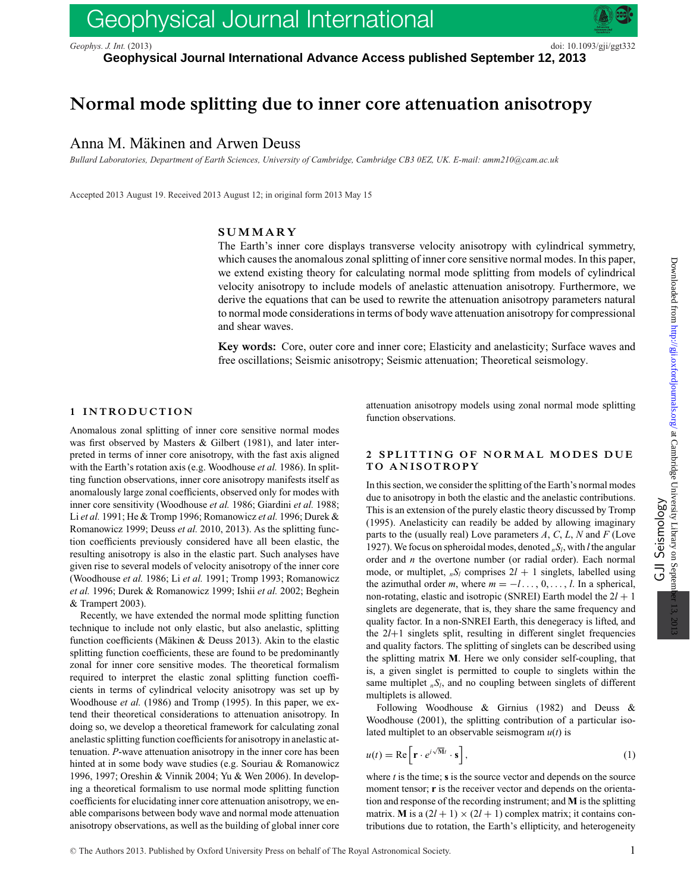# Geophysical Journal International

*Geophys. J. Int.* (2013) doi: 10.1093/gji/ggt332

**Geophysical Journal International Advance Access published September 12, 2013**

## **Normal mode splitting due to inner core attenuation anisotropy**

### Anna M. Mäkinen and Arwen Deuss

*Bullard Laboratories, Department of Earth Sciences, University of Cambridge, Cambridge CB3 0EZ, UK. E-mail: amm210@cam.ac.uk*

Accepted 2013 August 19. Received 2013 August 12; in original form 2013 May 15

#### **SUMMARY**

The Earth's inner core displays transverse velocity anisotropy with cylindrical symmetry, which causes the anomalous zonal splitting of inner core sensitive normal modes. In this paper, we extend existing theory for calculating normal mode splitting from models of cylindrical velocity anisotropy to include models of anelastic attenuation anisotropy. Furthermore, we derive the equations that can be used to rewrite the attenuation anisotropy parameters natural to normal mode considerations in terms of body wave attenuation anisotropy for compressional and shear waves.

**Key words:** Core, outer core and inner core; Elasticity and anelasticity; Surface waves and free oscillations; Seismic anisotropy; Seismic attenuation; Theoretical seismology.

#### **1 INTRODUCTION**

Anomalous zonal splitting of inner core sensitive normal modes was first observed by Masters & Gilbert (1981), and later interpreted in terms of inner core anisotropy, with the fast axis aligned with the Earth's rotation axis (e.g. Woodhouse *et al.* 1986). In splitting function observations, inner core anisotropy manifests itself as anomalously large zonal coefficients, observed only for modes with inner core sensitivity (Woodhouse *et al.* 1986; Giardini *et al.* 1988; Li *et al.* 1991; He & Tromp 1996; Romanowicz *et al.* 1996; Durek & Romanowicz 1999; Deuss *et al.* 2010, 2013). As the splitting function coefficients previously considered have all been elastic, the resulting anisotropy is also in the elastic part. Such analyses have given rise to several models of velocity anisotropy of the inner core (Woodhouse *et al.* 1986; Li *et al.* 1991; Tromp 1993; Romanowicz *et al.* 1996; Durek & Romanowicz 1999; Ishii *et al.* 2002; Beghein & Trampert 2003).

Recently, we have extended the normal mode splitting function technique to include not only elastic, but also anelastic, splitting function coefficients (Mäkinen & Deuss 2013). Akin to the elastic splitting function coefficients, these are found to be predominantly zonal for inner core sensitive modes. The theoretical formalism required to interpret the elastic zonal splitting function coefficients in terms of cylindrical velocity anisotropy was set up by Woodhouse *et al.* (1986) and Tromp (1995). In this paper, we extend their theoretical considerations to attenuation anisotropy. In doing so, we develop a theoretical framework for calculating zonal anelastic splitting function coefficients for anisotropy in anelastic attenuation. *P*-wave attenuation anisotropy in the inner core has been hinted at in some body wave studies (e.g. Souriau & Romanowicz 1996, 1997; Oreshin & Vinnik 2004; Yu & Wen 2006). In developing a theoretical formalism to use normal mode splitting function coefficients for elucidating inner core attenuation anisotropy, we enable comparisons between body wave and normal mode attenuation anisotropy observations, as well as the building of global inner core

attenuation anisotropy models using zonal normal mode splitting function observations.

#### **2 SPLITTING OF NORMAL MODES DUE TO ANISOTROPY**

In this section, we consider the splitting of the Earth's normal modes due to anisotropy in both the elastic and the anelastic contributions. This is an extension of the purely elastic theory discussed by Tromp (1995). Anelasticity can readily be added by allowing imaginary parts to the (usually real) Love parameters *A*, *C*, *L*, *N* and *F* (Love 1927). We focus on spheroidal modes, denoted  $_nS_l$ , with *l* the angular order and *n* the overtone number (or radial order). Each normal mode, or multiplet,  $nS_l$  comprises  $2l + 1$  singlets, labelled using the azimuthal order *m*, where  $m = -l \dots, 0, \dots, l$ . In a spherical, non-rotating, elastic and isotropic (SNREI) Earth model the  $2l + 1$ singlets are degenerate, that is, they share the same frequency and quality factor. In a non-SNREI Earth, this denegeracy is lifted, and the 2*l*+1 singlets split, resulting in different singlet frequencies and quality factors. The splitting of singlets can be described using the splitting matrix **M**. Here we only consider self-coupling, that is, a given singlet is permitted to couple to singlets within the same multiplet  $nS_l$ , and no coupling between singlets of different multiplets is allowed.

Following Woodhouse & Girnius (1982) and Deuss & Woodhouse (2001), the splitting contribution of a particular isolated multiplet to an observable seismogram  $u(t)$  is

$$
u(t) = \text{Re}\left[\mathbf{r} \cdot e^{i\sqrt{M}t} \cdot \mathbf{s}\right],\tag{1}
$$

where  $t$  is the time;  $s$  is the source vector and depends on the source moment tensor; **r** is the receiver vector and depends on the orientation and response of the recording instrument; and **M** is the splitting matrix. **M** is a  $(2l + 1) \times (2l + 1)$  complex matrix; it contains contributions due to rotation, the Earth's ellipticity, and heterogeneity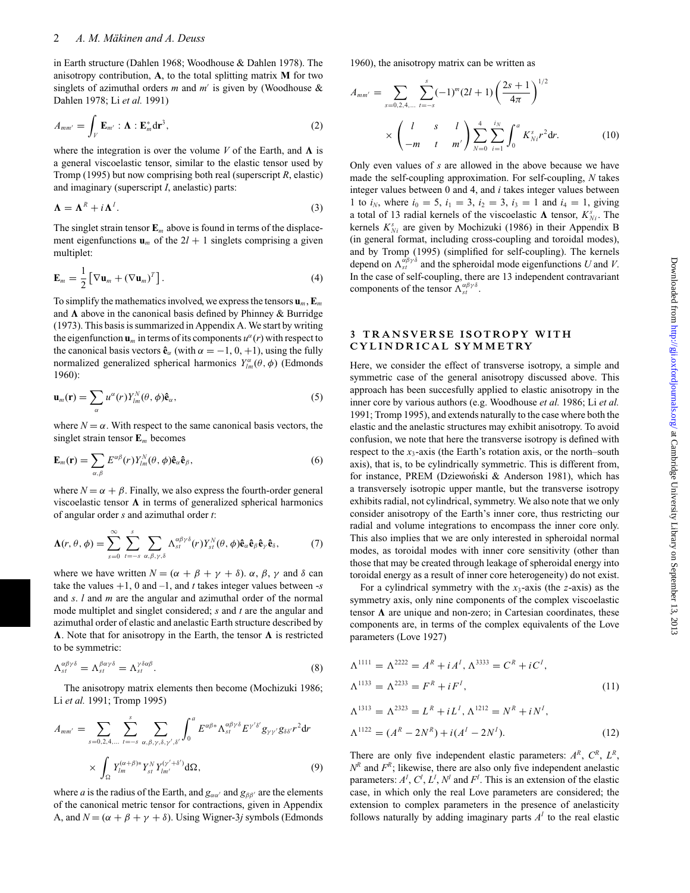in Earth structure (Dahlen 1968; Woodhouse & Dahlen 1978). The anisotropy contribution, **A**, to the total splitting matrix **M** for two singlets of azimuthal orders  $m$  and  $m'$  is given by (Woodhouse  $\&$ Dahlen 1978; Li *et al.* 1991)

$$
A_{mm'} = \int_V \mathbf{E}_{m'} : \mathbf{\Lambda} : \mathbf{E}_m^* d\mathbf{r}^3,
$$
 (2)

where the integration is over the volume  $V$  of the Earth, and  $\Lambda$  is a general viscoelastic tensor, similar to the elastic tensor used by Tromp (1995) but now comprising both real (superscript *R*, elastic) and imaginary (superscript *I*, anelastic) parts:

$$
\Lambda = \Lambda^R + i\Lambda^I. \tag{3}
$$

The singlet strain tensor  $\mathbf{E}_m$  above is found in terms of the displacement eigenfunctions  $\mathbf{u}_m$  of the  $2l + 1$  singlets comprising a given multiplet:

$$
\mathbf{E}_m = \frac{1}{2} \left[ \nabla \mathbf{u}_m + (\nabla \mathbf{u}_m)^T \right]. \tag{4}
$$

To simplify the mathematics involved, we express the tensors  $\mathbf{u}_m$ ,  $\mathbf{E}_m$ and  $\Lambda$  above in the canonical basis defined by Phinney & Burridge (1973). This basis is summarized in Appendix A. We start by writing the eigenfunction  $\mathbf{u}_m$  in terms of its components  $u^{\alpha}(r)$  with respect to the canonical basis vectors  $\hat{\mathbf{e}}_{\alpha}$  (with  $\alpha = -1, 0, +1$ ), using the fully normalized generalized spherical harmonics  $Y_{lm}^{\alpha}(\theta, \phi)$  (Edmonds 1960):

$$
\mathbf{u}_m(\mathbf{r}) = \sum_{\alpha} u^{\alpha}(r) Y_{lm}^{N}(\theta, \phi) \hat{\mathbf{e}}_{\alpha}, \qquad (5)
$$

where  $N = \alpha$ . With respect to the same canonical basis vectors, the singlet strain tensor **E***<sup>m</sup>* becomes

$$
\mathbf{E}_m(\mathbf{r}) = \sum_{\alpha,\beta} E^{\alpha\beta}(r) Y_{lm}^N(\theta,\phi) \mathbf{\hat{e}}_{\alpha} \mathbf{\hat{e}}_{\beta},
$$
(6)

where  $N = \alpha + \beta$ . Finally, we also express the fourth-order general viscoelastic tensor  $\Lambda$  in terms of generalized spherical harmonics of angular order *s* and azimuthal order *t*:

$$
\mathbf{\Lambda}(r,\theta,\phi) = \sum_{s=0}^{\infty} \sum_{t=-s}^{s} \sum_{\alpha,\beta,\gamma,\delta} \Lambda_{st}^{\alpha\beta\gamma\delta}(r) Y_{st}^{N}(\theta,\phi) \mathbf{\hat{e}}_{\alpha} \mathbf{\hat{e}}_{\beta} \mathbf{\hat{e}}_{\gamma} \mathbf{\hat{e}}_{\delta},
$$
(7)

where we have written  $N = (\alpha + \beta + \gamma + \delta)$ .  $\alpha$ ,  $\beta$ ,  $\gamma$  and  $\delta$  can take the values  $+1$ , 0 and  $-1$ , and *t* takes integer values between  $-s$ and *s*. *l* and *m* are the angular and azimuthal order of the normal mode multiplet and singlet considered; *s* and *t* are the angular and azimuthal order of elastic and anelastic Earth structure described by  $\Lambda$ . Note that for anisotropy in the Earth, the tensor  $\Lambda$  is restricted to be symmetric:

$$
\Lambda_{st}^{\alpha\beta\gamma\delta} = \Lambda_{st}^{\beta\alpha\gamma\delta} = \Lambda_{st}^{\gamma\delta\alpha\beta}.
$$
\n(8)

The anisotropy matrix elements then become (Mochizuki 1986; Li *et al.* 1991; Tromp 1995)

$$
A_{mm'} = \sum_{s=0,2,4,...} \sum_{t=-s}^{s} \sum_{\alpha,\beta,\gamma,\delta,\gamma',\delta'} \int_{0}^{a} E^{\alpha\beta*} \Lambda_{st}^{\alpha\beta\gamma\delta} E^{\gamma'\delta'} g_{\gamma\gamma'} g_{\delta\delta'} r^{2} dr
$$

$$
\times \int_{\Omega} Y_{lm}^{(\alpha+\beta)*} Y_{st}^{N} Y_{lm'}^{(\gamma'+\delta')} d\Omega,
$$
 (9)

where *a* is the radius of the Earth, and  $g_{\alpha\alpha'}$  and  $g_{\beta\beta'}$  are the elements of the canonical metric tensor for contractions, given in Appendix A, and  $N = (\alpha + \beta + \gamma + \delta)$ . Using Wigner-3*j* symbols (Edmonds 1960), the anisotropy matrix can be written as

$$
A_{mm'} = \sum_{s=0,2,4,...} \sum_{t=-s}^{s} (-1)^{m} (2l+1) \left(\frac{2s+1}{4\pi}\right)^{1/2}
$$

$$
\times \left(\begin{array}{cc} l & s & l \\ -m & t & m' \end{array}\right) \sum_{N=0}^{4} \sum_{i=1}^{i_N} \int_{0}^{a} K_{Ni}^{s} r^{2} dr. \tag{10}
$$

Only even values of *s* are allowed in the above because we have made the self-coupling approximation. For self-coupling, *N* takes integer values between 0 and 4, and *i* takes integer values between 1 to  $i_N$ , where  $i_0 = 5$ ,  $i_1 = 3$ ,  $i_2 = 3$ ,  $i_3 = 1$  and  $i_4 = 1$ , giving a total of 13 radial kernels of the viscoelastic  $\Lambda$  tensor,  $K_{Ni}^s$ . The kernels  $K_{Ni}^{s}$  are given by Mochizuki (1986) in their Appendix B (in general format, including cross-coupling and toroidal modes), and by Tromp (1995) (simplified for self-coupling). The kernels depend on  $\Lambda_{st}^{\alpha\beta\gamma\delta}$  and the spheroidal mode eigenfunctions *U* and *V*. In the case of self-coupling, there are 13 independent contravariant components of the tensor  $\Lambda_{st}^{\alpha\beta\gamma\delta}$ .

#### **3 TRANSVERSE ISOTROPY WITH CY L INDR ICA L SYMM E TRY**

Here, we consider the effect of transverse isotropy, a simple and symmetric case of the general anisotropy discussed above. This approach has been succesfully applied to elastic anisotropy in the inner core by various authors (e.g. Woodhouse *et al.* 1986; Li *et al.* 1991; Tromp 1995), and extends naturally to the case where both the elastic and the anelastic structures may exhibit anisotropy. To avoid confusion, we note that here the transverse isotropy is defined with respect to the  $x_3$ -axis (the Earth's rotation axis, or the north–south axis), that is, to be cylindrically symmetric. This is different from, for instance, PREM (Dziewoński & Anderson 1981), which has a transversely isotropic upper mantle, but the transverse isotropy exhibits radial, not cylindrical, symmetry. We also note that we only consider anisotropy of the Earth's inner core, thus restricting our radial and volume integrations to encompass the inner core only. This also implies that we are only interested in spheroidal normal modes, as toroidal modes with inner core sensitivity (other than those that may be created through leakage of spheroidal energy into toroidal energy as a result of inner core heterogeneity) do not exist.

For a cylindrical symmetry with the *x*3-axis (the *z*-axis) as the symmetry axis, only nine components of the complex viscoelastic tensor  $\Lambda$  are unique and non-zero; in Cartesian coordinates, these components are, in terms of the complex equivalents of the Love parameters (Love 1927)

$$
\Lambda^{1111} = \Lambda^{2222} = A^R + iA^I, \Lambda^{3333} = C^R + iC^I,
$$
  
\n
$$
\Lambda^{1133} = \Lambda^{2233} = F^R + iF^I,
$$
  
\n
$$
\Lambda^{1313} = \Lambda^{2323} = L^R + iL^I, \Lambda^{1212} = N^R + iN^I,
$$
  
\n
$$
\Lambda^{1122} = (A^R - 2N^R) + i(A^I - 2N^I).
$$
\n(12)

There are only five independent elastic parameters:  $A^R$ ,  $C^R$ ,  $L^R$ ,  $N<sup>R</sup>$  and  $F<sup>R</sup>$ ; likewise, there are also only five independent anelastic parameters:  $A^I$ ,  $C^I$ ,  $L^I$ ,  $N^I$  and  $F^I$ . This is an extension of the elastic case, in which only the real Love parameters are considered; the extension to complex parameters in the presence of anelasticity follows naturally by adding imaginary parts  $A<sup>I</sup>$  to the real elastic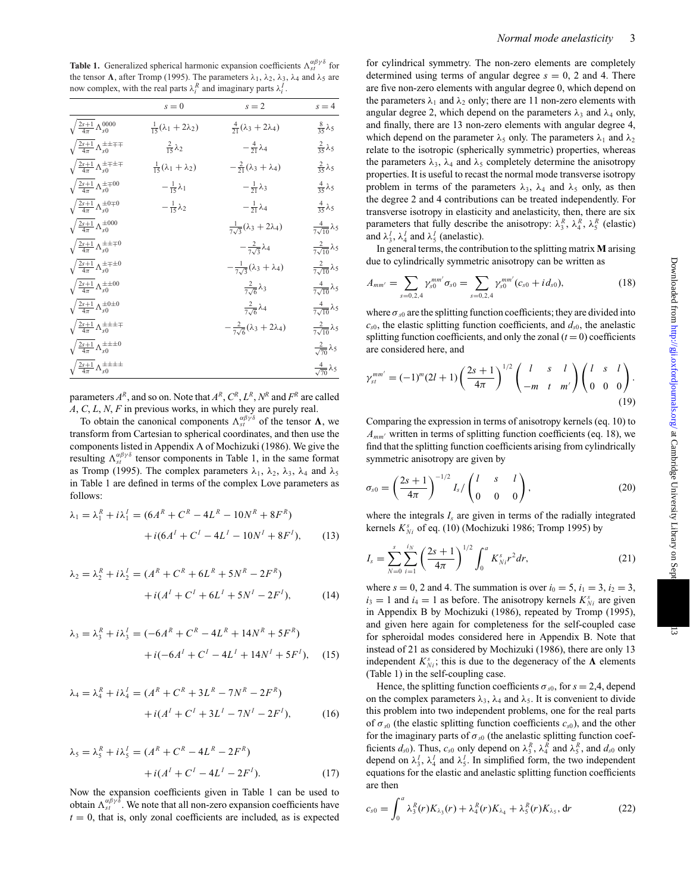**Table 1.** Generalized spherical harmonic expansion coefficients  $\Lambda_{st}^{\alpha\beta\gamma\delta}$  for the tensor  $\Lambda$ , after Tromp (1995). The parameters  $\lambda_1$ ,  $\lambda_2$ ,  $\lambda_3$ ,  $\lambda_4$  and  $\lambda_5$  are now complex, with the real parts  $\lambda_i^R$  and imaginary parts  $\lambda_i^I$ .

|                                                         | $s = 0$                                | $s = 2$                                        | $s = 4$                         |
|---------------------------------------------------------|----------------------------------------|------------------------------------------------|---------------------------------|
| $\sqrt{\frac{2s+1}{4\pi}}\Lambda_{s0}^{0000}$           | $\frac{1}{15}(\lambda_1 + 2\lambda_2)$ | $\frac{4}{21}(\lambda_3 + 2\lambda_4)$         | $\frac{8}{35} \lambda_5$        |
| $\sqrt{\frac{2s+1}{4\pi}}\Lambda_{s0}^{\pm\pm\mp\mp}$   | $\frac{2}{15}\lambda_2$                | $-\frac{4}{21}\lambda_4$                       | $rac{2}{35}\lambda_5$           |
| $\sqrt{\frac{2s+1}{4\pi}}\Lambda_{s0}^{\pm\mp\pm\mp}$   | $\frac{1}{15}(\lambda_1 + \lambda_2)$  | $-\frac{2}{21}(\lambda_3 + \lambda_4)$         | $\frac{2}{35}\lambda_5$         |
| $\sqrt{\frac{2s+1}{4\pi}} \Lambda_{s0}^{\pm\mp00}$      | $-\frac{1}{15}\lambda_1$               | $-\frac{1}{21}\lambda_3$                       | $rac{4}{35}\lambda_5$           |
| $\sqrt{\frac{2s+1}{4\pi}}\Lambda_{s0}^{\pm0\mp0}$       | $-\frac{1}{15}\lambda_2$               | $-\frac{1}{21}\lambda_4$                       | $rac{4}{35}\lambda_5$           |
| $\sqrt{\frac{2s+1}{4\pi}} \Lambda_{s0}^{\pm 000}$       |                                        | $\frac{1}{7\sqrt{3}}(\lambda_3 + 2\lambda_4)$  | $\frac{4}{7\sqrt{10}}\lambda_5$ |
| $\sqrt{\frac{2s+1}{4\pi}} \Lambda_{s0}^{\pm\pm\mp0}$    |                                        | $-\frac{2}{7\sqrt{3}}\lambda_4$                | $\frac{2}{7\sqrt{10}}\lambda_5$ |
| $\sqrt{\frac{2s+1}{4\pi}} \Lambda_{s0}^{\pm \mp \pm 0}$ |                                        | $-\frac{1}{7\sqrt{3}}(\lambda_3 + \lambda_4)$  | $\frac{2}{7\sqrt{10}}\lambda_5$ |
| $\sqrt{\frac{2s+1}{4\pi}} \Lambda_{s0}^{\pm\pm00}$      |                                        | $\frac{2}{7\sqrt{6}}\lambda_3$                 | $\frac{4}{7\sqrt{10}}\lambda_5$ |
| $\sqrt{\frac{2s+1}{4\pi}} \Lambda_{s0}^{\pm 0\pm 0}$    |                                        | $\frac{2}{7\sqrt{6}}\lambda_4$                 | $\frac{4}{7\sqrt{10}}\lambda_5$ |
| $\sqrt{\frac{2s+1}{4\pi}}\Lambda_{s0}^{\pm\pm\pm\mp}$   |                                        | $-\frac{2}{7\sqrt{6}}(\lambda_3 + 2\lambda_4)$ | $\frac{2}{7\sqrt{10}}\lambda_5$ |
| $\sqrt{\frac{2s+1}{4\pi}} \Lambda_{s0}^{\pm \pm \pm 0}$ |                                        |                                                | $\frac{2}{\sqrt{70}}\lambda_5$  |
| $\sqrt{\frac{2s+1}{4\pi}\Lambda_{s0}^{\pm\pm\pm\pm}}$   |                                        |                                                | $\frac{4}{\sqrt{70}}\lambda_5$  |

parameters  $A^R$ , and so on. Note that  $A^R$ ,  $C^R$ ,  $L^R$ ,  $N^R$  and  $F^R$  are called *A*, *C*, *L*, *N*, *F* in previous works, in which they are purely real.

To obtain the canonical components  $\Lambda_{st}^{\alpha\beta\gamma\delta}$  of the tensor  $\Lambda$ , we transform from Cartesian to spherical coordinates, and then use the components listed in Appendix A of Mochizuki (1986). We give the resulting  $\Lambda_{st}^{\alpha\beta\gamma\delta}$  tensor components in Table 1, in the same format as Tromp (1995). The complex parameters  $\lambda_1$ ,  $\lambda_2$ ,  $\lambda_3$ ,  $\lambda_4$  and  $\lambda_5$ in Table 1 are defined in terms of the complex Love parameters as follows:

$$
\lambda_1 = \lambda_1^R + i\lambda_1^I = (6A^R + C^R - 4L^R - 10N^R + 8F^R) + i(6A^I + C^I - 4L^I - 10N^I + 8F^I),
$$
 (13)

$$
\lambda_2 = \lambda_2^R + i\lambda_2^I = (A^R + C^R + 6L^R + 5N^R - 2F^R) + i(A^I + C^I + 6L^I + 5N^I - 2F^I),
$$
 (14)

$$
\lambda_3 = \lambda_3^R + i\lambda_3^I = (-6A^R + C^R - 4L^R + 14N^R + 5F^R) + i(-6A^I + C^I - 4L^I + 14N^I + 5F^I), \quad (15)
$$

$$
\lambda_4 = \lambda_4^R + i\lambda_4^I = (A^R + C^R + 3L^R - 7N^R - 2F^R) + i(A^I + C^I + 3L^I - 7N^I - 2F^I),
$$
 (16)

$$
\lambda_5 = \lambda_5^R + i\lambda_5^I = (A^R + C^R - 4L^R - 2F^R) + i(A^I + C^I - 4L^I - 2F^I).
$$
 (17)

Now the expansion coefficients given in Table 1 can be used to obtain  $\Lambda_{st}^{\alpha\beta\gamma\delta}$ . We note that all non-zero expansion coefficients have  $t = 0$ , that is, only zonal coefficients are included, as is expected for cylindrical symmetry. The non-zero elements are completely determined using terms of angular degree  $s = 0$ , 2 and 4. There are five non-zero elements with angular degree 0, which depend on the parameters  $\lambda_1$  and  $\lambda_2$  only; there are 11 non-zero elements with angular degree 2, which depend on the parameters  $\lambda_3$  and  $\lambda_4$  only, and finally, there are 13 non-zero elements with angular degree 4, which depend on the parameter  $\lambda_5$  only. The parameters  $\lambda_1$  and  $\lambda_2$ relate to the isotropic (spherically symmetric) properties, whereas the parameters  $\lambda_3$ ,  $\lambda_4$  and  $\lambda_5$  completely determine the anisotropy properties. It is useful to recast the normal mode transverse isotropy problem in terms of the parameters  $\lambda_3$ ,  $\lambda_4$  and  $\lambda_5$  only, as then the degree 2 and 4 contributions can be treated independently. For transverse isotropy in elasticity and anelasticity, then, there are six parameters that fully describe the anisotropy:  $\lambda_3^R$ ,  $\lambda_4^R$ ,  $\lambda_5^R$  (elastic) and  $\lambda_3^I$ ,  $\lambda_4^I$  and  $\lambda_5^I$  (anelastic).

In general terms, the contribution to the splitting matrix **M** arising due to cylindrically symmetric anisotropy can be written as

$$
A_{mm'} = \sum_{s=0,2,4} \gamma_{s0}^{mm'} \sigma_{s0} = \sum_{s=0,2,4} \gamma_{s0}^{mm'} (c_{s0} + id_{s0}), \qquad (18)
$$

where  $\sigma_{s0}$  are the splitting function coefficients; they are divided into  $c_{s0}$ , the elastic splitting function coefficients, and  $d_{s0}$ , the anelastic splitting function coefficients, and only the zonal  $(t = 0)$  coefficients are considered here, and

$$
\gamma_{st}^{mm'} = (-1)^m (2l+1) \left(\frac{2s+1}{4\pi}\right)^{1/2} \left(\begin{array}{cc} l & s & l \\ -m & t & m' \end{array}\right) \left(\begin{array}{cc} l & s & l \\ 0 & 0 & 0 \end{array}\right).
$$
\n(19)

Comparing the expression in terms of anisotropy kernels (eq. 10) to  $A_{mm'}$  written in terms of splitting function coefficients (eq. 18), we find that the splitting function coefficients arising from cylindrically symmetric anisotropy are given by

$$
\sigma_{s0} = \left(\frac{2s+1}{4\pi}\right)^{-1/2} I_s / \left(\begin{matrix} l & s & l \\ 0 & 0 & 0 \end{matrix}\right),\tag{20}
$$

where the integrals  $I_s$  are given in terms of the radially integrated kernels  $K_{Ni}^s$  of eq. (10) (Mochizuki 1986; Tromp 1995) by

$$
I_s = \sum_{N=0}^{s} \sum_{i=1}^{i_N} \left(\frac{2s+1}{4\pi}\right)^{1/2} \int_0^a K_{Ni}^s r^2 dr, \tag{21}
$$

where  $s = 0$ , 2 and 4. The summation is over  $i_0 = 5$ ,  $i_1 = 3$ ,  $i_2 = 3$ ,  $i_3 = 1$  and  $i_4 = 1$  as before. The anisotropy kernels  $K_{Ni}^s$  are given in Appendix B by Mochizuki (1986), repeated by Tromp (1995), and given here again for completeness for the self-coupled case for spheroidal modes considered here in Appendix B. Note that instead of 21 as considered by Mochizuki (1986), there are only 13 independent  $K_{Ni}^s$ ; this is due to the degeneracy of the  $\Lambda$  elements (Table 1) in the self-coupling case.

Hence, the splitting function coefficients  $\sigma_{s0}$ , for  $s = 2,4$ , depend on the complex parameters  $\lambda_3$ ,  $\lambda_4$  and  $\lambda_5$ . It is convenient to divide this problem into two independent problems, one for the real parts of  $\sigma_{s0}$  (the elastic splitting function coefficients  $c_{s0}$ ), and the other for the imaginary parts of  $\sigma_{s0}$  (the anelastic splitting function coefficients  $d_{s0}$ ). Thus,  $c_{s0}$  only depend on  $\lambda_3^R$ ,  $\lambda_4^R$  and  $\lambda_5^R$ , and  $d_{s0}$  only depend on  $\lambda_3^I$ ,  $\lambda_4^I$  and  $\lambda_5^I$ . In simplified form, the two independent equations for the elastic and anelastic splitting function coefficients are then

$$
c_{s0} = \int_0^a \lambda_3^R(r) K_{\lambda_3}(r) + \lambda_4^R(r) K_{\lambda_4} + \lambda_5^R(r) K_{\lambda_5}, \, dr \tag{22}
$$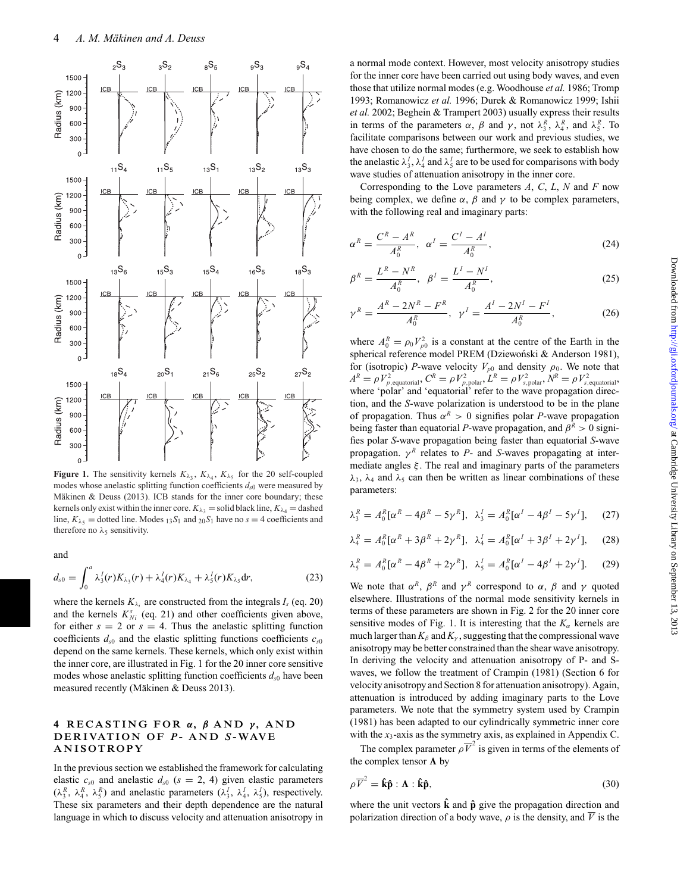

**Figure 1.** The sensitivity kernels  $K_{\lambda_3}$ ,  $K_{\lambda_4}$ ,  $K_{\lambda_5}$  for the 20 self-coupled modes whose anelastic splitting function coefficients  $d_{s0}$  were measured by Mäkinen & Deuss (2013). ICB stands for the inner core boundary; these kernels only exist within the inner core.  $K_{\lambda_3}$  = solid black line,  $K_{\lambda_4}$  = dashed line,  $K_{\lambda_5}$  = dotted line. Modes  $_{13}S_1$  and  $_{20}S_1$  have no  $s = 4$  coefficients and therefore no  $\lambda_5$  sensitivity.

and

$$
d_{s0} = \int_0^a \lambda_3^I(r) K_{\lambda_3}(r) + \lambda_4^I(r) K_{\lambda_4} + \lambda_5^I(r) K_{\lambda_5} dr,
$$
 (23)

where the kernels  $K_{\lambda_i}$  are constructed from the integrals  $I_s$  (eq. 20) and the kernels  $K_{Ni}^{s}$  (eq. 21) and other coefficients given above, for either  $s = 2$  or  $s = 4$ . Thus the anelastic splitting function coefficients  $d_{s0}$  and the elastic splitting functions coefficients  $c_{s0}$ depend on the same kernels. These kernels, which only exist within the inner core, are illustrated in Fig. 1 for the 20 inner core sensitive modes whose anelastic splitting function coefficients  $d_{s0}$  have been measured recently (Mäkinen & Deuss 2013).

#### **4 RECASTING FOR** *α***,** *β* **AND** *γ* **, AND D ER IVAT ION O F** *P* **- AND** *S* **-WAV E ANISOTROPY**

In the previous section we established the framework for calculating elastic  $c_{s0}$  and anelastic  $d_{s0}$  ( $s = 2, 4$ ) given elastic parameters  $(\lambda_3^R, \lambda_4^R, \lambda_5^R)$  and anelastic parameters  $(\lambda_3^I, \lambda_4^I, \lambda_5^I)$ , respectively. These six parameters and their depth dependence are the natural language in which to discuss velocity and attenuation anisotropy in

a normal mode context. However, most velocity anisotropy studies for the inner core have been carried out using body waves, and even those that utilize normal modes (e.g. Woodhouse *et al.* 1986; Tromp 1993; Romanowicz *et al.* 1996; Durek & Romanowicz 1999; Ishii *et al.* 2002; Beghein & Trampert 2003) usually express their results in terms of the parameters  $\alpha$ ,  $\beta$  and  $\gamma$ , not  $\lambda_3^R$ ,  $\lambda_4^R$ , and  $\lambda_5^R$ . To facilitate comparisons between our work and previous studies, we have chosen to do the same; furthermore, we seek to establish how the anelastic  $\lambda_3^I$ ,  $\lambda_4^I$  and  $\lambda_5^I$  are to be used for comparisons with body wave studies of attenuation anisotropy in the inner core.

Corresponding to the Love parameters *A*, *C*, *L*, *N* and *F* now being complex, we define  $\alpha$ ,  $\beta$  and  $\gamma$  to be complex parameters, with the following real and imaginary parts:

$$
\alpha^R = \frac{C^R - A^R}{A_0^R}, \ \alpha^I = \frac{C^I - A^I}{A_0^R}, \tag{24}
$$

$$
\beta^R = \frac{L^R - N^R}{A_0^R}, \ \beta^I = \frac{L^I - N^I}{A_0^R}, \tag{25}
$$

$$
\gamma^R = \frac{A^R - 2N^R - F^R}{A_0^R}, \ \gamma^I = \frac{A^I - 2N^I - F^I}{A_0^R}, \tag{26}
$$

where  $A_0^R = \rho_0 V_{p0}^2$  is a constant at the centre of the Earth in the spherical reference model PREM (Dziewoński & Anderson 1981), for (isotropic) *P*-wave velocity  $V_{p0}$  and density  $\rho_0$ . We note that  $A^R = \rho V_{p,\text{equatorial}}^2$ ,  $C^R = \rho V_{p,\text{polar}}^2$ ,  $L^R = \rho V_{s,\text{polar}}^2$ ,  $N^R = \rho V_{s,\text{equatorial}}^2$ , where 'polar' and 'equatorial' refer to the wave propagation direction, and the *S*-wave polarization is understood to be in the plane of propagation. Thus  $\alpha^R > 0$  signifies polar *P*-wave propagation being faster than equatorial *P*-wave propagation, and  $\beta^R > 0$  signifies polar *S*-wave propagation being faster than equatorial *S*-wave propagation.  $\gamma^R$  relates to *P*- and *S*-waves propagating at intermediate angles  $\xi$ . The real and imaginary parts of the parameters  $\lambda_3$ ,  $\lambda_4$  and  $\lambda_5$  can then be written as linear combinations of these parameters:

$$
\lambda_3^R = A_0^R [\alpha^R - 4\beta^R - 5\gamma^R], \quad \lambda_3^I = A_0^R [\alpha^I - 4\beta^I - 5\gamma^I], \tag{27}
$$

$$
\lambda_4^R = A_0^R [\alpha^R + 3\beta^R + 2\gamma^R], \quad \lambda_4^I = A_0^R [\alpha^I + 3\beta^I + 2\gamma^I], \tag{28}
$$

$$
\lambda_5^R = A_0^R [\alpha^R - 4\beta^R + 2\gamma^R], \quad \lambda_5^I = A_0^R [\alpha^I - 4\beta^I + 2\gamma^I]. \tag{29}
$$

We note that  $\alpha^R$ ,  $\beta^R$  and  $\gamma^R$  correspond to  $\alpha$ ,  $\beta$  and  $\gamma$  quoted elsewhere. Illustrations of the normal mode sensitivity kernels in terms of these parameters are shown in Fig. 2 for the 20 inner core sensitive modes of Fig. 1. It is interesting that the  $K_{\alpha}$  kernels are much larger than  $K_\beta$  and  $K_\gamma$ , suggesting that the compressional wave anisotropy may be better constrained than the shear wave anisotropy. In deriving the velocity and attenuation anisotropy of P- and Swaves, we follow the treatment of Crampin (1981) (Section 6 for velocity anisotropy and Section 8 for attenuation anisotropy). Again, attenuation is introduced by adding imaginary parts to the Love parameters. We note that the symmetry system used by Crampin (1981) has been adapted to our cylindrically symmetric inner core with the  $x_3$ -axis as the symmetry axis, as explained in Appendix C.

The complex parameter  $\rho \overline{V}^2$  is given in terms of the elements of the complex tensor  $\Lambda$  by

$$
\rho \overline{V}^2 = \hat{\mathbf{k}} \hat{\mathbf{p}} : \mathbf{\Lambda} : \hat{\mathbf{k}} \hat{\mathbf{p}},
$$
\n(30)

where the unit vectors  $\hat{k}$  and  $\hat{p}$  give the propagation direction and polarization direction of a body wave,  $\rho$  is the density, and  $\overline{V}$  is the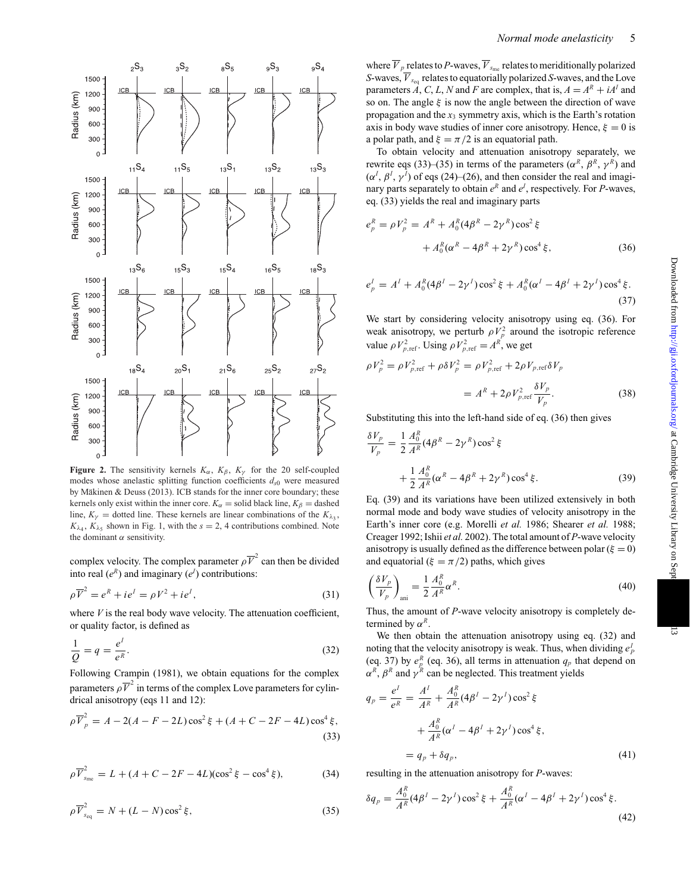

**Figure 2.** The sensitivity kernels  $K_{\alpha}$ ,  $K_{\beta}$ ,  $K_{\gamma}$  for the 20 self-coupled modes whose anelastic splitting function coefficients  $d_{s0}$  were measured by Mäkinen & Deuss (2013). ICB stands for the inner core boundary; these kernels only exist within the inner core.  $K_\alpha$  = solid black line,  $K_\beta$  = dashed line,  $K_{\gamma}$  = dotted line. These kernels are linear combinations of the  $K_{\lambda}$ ,  $K_{\lambda_4}$ ,  $K_{\lambda_5}$  shown in Fig. 1, with the  $s = 2$ , 4 contributions combined. Note the dominant  $\alpha$  sensitivity.

complex velocity. The complex parameter  $\rho \overline{V}^2$  can then be divided into real  $(e^R)$  and imaginary  $(e^I)$  contributions:

$$
\rho \overline{V}^2 = e^R + ie^I = \rho V^2 + ie^I,
$$
\n(31)

where  $V$  is the real body wave velocity. The attenuation coefficient, or quality factor, is defined as

$$
\frac{1}{Q} = q = \frac{e^l}{e^R}.\tag{32}
$$

Following Crampin (1981), we obtain equations for the complex parameters  $\rho \overline{V}^2$  in terms of the complex Love parameters for cylindrical anisotropy (eqs 11 and 12):

$$
\rho \overline{V}_{p}^{2} = A - 2(A - F - 2L)\cos^{2}\xi + (A + C - 2F - 4L)\cos^{4}\xi,
$$
\n(33)

$$
\rho \overline{V}_{s_{\rm me}}^2 = L + (A + C - 2F - 4L)(\cos^2 \xi - \cos^4 \xi),\tag{34}
$$

$$
\rho \overline{V}_{s_{\text{eq}}}^2 = N + (L - N)\cos^2 \xi, \tag{35}
$$

where  $\overline{V}_p$  relates to *P*-waves,  $\overline{V}_{s_{\text{me}}}$  relates to meriditionally polarized *S*-waves,  $\overline{V}_{s_{eq}}$  relates to equatorially polarized *S*-waves, and the Love parameters  $\hat{A}$ ,  $C$ ,  $L$ ,  $N$  and  $F$  are complex, that is,  $A = A^R + iA^I$  and so on. The angle  $\xi$  is now the angle between the direction of wave propagation and the  $x_3$  symmetry axis, which is the Earth's rotation axis in body wave studies of inner core anisotropy. Hence,  $\xi = 0$  is a polar path, and  $\xi = \pi/2$  is an equatorial path.

To obtain velocity and attenuation anisotropy separately, we rewrite eqs (33)–(35) in terms of the parameters ( $\alpha^R$ ,  $\beta^R$ ,  $\gamma^R$ ) and  $(\alpha^I, \beta^I, \gamma^I)$  of eqs (24)–(26), and then consider the real and imaginary parts separately to obtain  $e^R$  and  $e^I$ , respectively. For *P*-waves, eq. (33) yields the real and imaginary parts

$$
e_p^R = \rho V_p^2 = A^R + A_0^R (4\beta^R - 2\gamma^R) \cos^2 \xi + A_0^R (\alpha^R - 4\beta^R + 2\gamma^R) \cos^4 \xi,
$$
 (36)

$$
e_p^I = A^I + A_0^R (4\beta^I - 2\gamma^I) \cos^2 \xi + A_0^R (\alpha^I - 4\beta^I + 2\gamma^I) \cos^4 \xi.
$$
\n(37)

We start by considering velocity anisotropy using eq. (36). For weak anisotropy, we perturb  $\rho V_p^2$  around the isotropic reference value  $\rho V_{p,\text{ref}}^2$ . Using  $\rho V_{p,\text{ref}}^2 = A^R$ , we get

$$
\rho V_p^2 = \rho V_{p,\text{ref}}^2 + \rho \delta V_p^2 = \rho V_{p,\text{ref}}^2 + 2\rho V_{p,\text{ref}} \delta V_p
$$

$$
= A^R + 2\rho V_{p,\text{ref}}^2 \frac{\delta V_p}{V_p}.
$$
(38)

Substituting this into the left-hand side of eq. (36) then gives

$$
\frac{\delta V_p}{V_p} = \frac{1}{2} \frac{A_0^R}{A^R} (4\beta^R - 2\gamma^R) \cos^2 \xi \n+ \frac{1}{2} \frac{A_0^R}{A^R} (\alpha^R - 4\beta^R + 2\gamma^R) \cos^4 \xi.
$$
\n(39)

Eq. (39) and its variations have been utilized extensively in both normal mode and body wave studies of velocity anisotropy in the Earth's inner core (e.g. Morelli *et al.* 1986; Shearer *et al.* 1988; Creager 1992; Ishii *et al.* 2002). The total amount of *P*-wave velocity anisotropy is usually defined as the difference between polar ( $\xi = 0$ ) and equatorial ( $\xi = \pi/2$ ) paths, which gives

$$
\left(\frac{\delta V_p}{V_p}\right)_{\text{ani}} = \frac{1}{2} \frac{A_0^R}{A^R} \alpha^R.
$$
\n(40)

Thus, the amount of *P*-wave velocity anisotropy is completely determined by  $\alpha^R$ .

We then obtain the attenuation anisotropy using eq. (32) and noting that the velocity anisotropy is weak. Thus, when dividing  $e^I_p$ (eq. 37) by  $e_p^R$  (eq. 36), all terms in attenuation  $q_p$  that depend on  $\alpha^R$ ,  $\beta^R$  and  $\gamma^R$  can be neglected. This treatment yields

$$
q_p = \frac{e^l}{e^R} = \frac{A^l}{A^R} + \frac{A_0^R}{A^R} (4\beta^I - 2\gamma^I) \cos^2 \xi
$$
  
+ 
$$
\frac{A_0^R}{A^R} (\alpha^I - 4\beta^I + 2\gamma^I) \cos^4 \xi,
$$
  
= 
$$
q_p + \delta q_p,
$$
 (41)

resulting in the attenuation anisotropy for *P*-waves:

$$
\delta q_p = \frac{A_0^R}{A^R} (4\beta^I - 2\gamma^I) \cos^2 \xi + \frac{A_0^R}{A^R} (\alpha^I - 4\beta^I + 2\gamma^I) \cos^4 \xi.
$$
\n(42)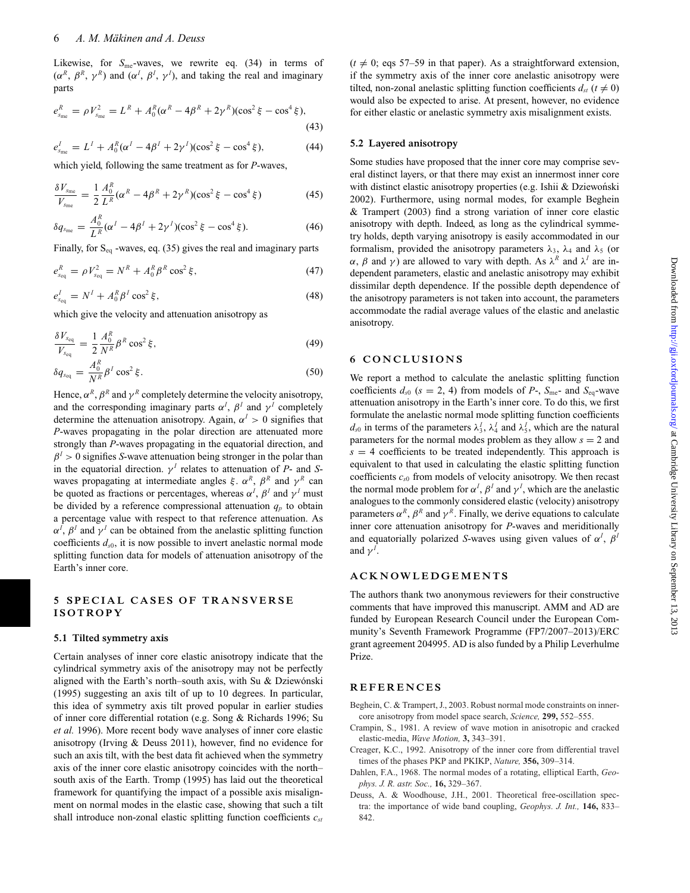Likewise, for *S*<sub>me</sub>-waves, we rewrite eq. (34) in terms of  $(\alpha^R, \beta^R, \gamma^R)$  and  $(\alpha^I, \beta^I, \gamma^I)$ , and taking the real and imaginary parts

$$
e_{s_{\rm me}}^R = \rho V_{s_{\rm me}}^2 = L^R + A_0^R (\alpha^R - 4\beta^R + 2\gamma^R)(\cos^2 \xi - \cos^4 \xi),
$$
\n(43)

$$
e_{\rm s_{me}}^I = L^I + A_0^R (\alpha^I - 4\beta^I + 2\gamma^I)(\cos^2 \xi - \cos^4 \xi), \tag{44}
$$

which yield, following the same treatment as for *P*-waves,

$$
\frac{\delta V_{\rm Sme}}{V_{\rm Sme}} = \frac{1}{2} \frac{A_0^R}{L^R} (\alpha^R - 4\beta^R + 2\gamma^R)(\cos^2 \xi - \cos^4 \xi) \tag{45}
$$

$$
\delta q_{s_{\rm me}} = \frac{A_0^R}{L^R} (\alpha^I - 4\beta^I + 2\gamma^I)(\cos^2 \xi - \cos^4 \xi). \tag{46}
$$

Finally, for  $S_{eq}$  -waves, eq. (35) gives the real and imaginary parts

$$
e_{s_{\text{eq}}}^{R} = \rho V_{s_{\text{eq}}}^{2} = N^{R} + A_{0}^{R} \beta^{R} \cos^{2} \xi, \qquad (47)
$$

$$
e_{s_{\text{eq}}}^I = N^I + A_0^R \beta^I \cos^2 \xi, \qquad (48)
$$

which give the velocity and attenuation anisotropy as

$$
\frac{\delta V_{s_{\text{eq}}}}{V_{s_{\text{eq}}}} = \frac{1}{2} \frac{A_0^R}{N^R} \beta^R \cos^2 \xi, \tag{49}
$$

$$
\delta q_{s_{\text{eq}}} = \frac{A_0^R}{N^R} \beta^I \cos^2 \xi. \tag{50}
$$

Hence,  $\alpha^R$ ,  $\beta^R$  and  $\gamma^R$  completely determine the velocity anisotropy, and the corresponding imaginary parts  $\alpha^I$ ,  $\beta^I$  and  $\gamma^I$  completely determine the attenuation anisotropy. Again,  $\alpha^I > 0$  signifies that *P*-waves propagating in the polar direction are attenuated more strongly than *P*-waves propagating in the equatorial direction, and  $\beta$ <sup>*I*</sup> > 0 signifies *S*-wave attenuation being stronger in the polar than in the equatorial direction.  $\gamma^I$  relates to attenuation of *P*- and *S*waves propagating at intermediate angles  $\xi$ .  $\alpha^R$ ,  $\beta^R$  and  $\gamma^R$  can be quoted as fractions or percentages, whereas  $\alpha^I$ ,  $\beta^I$  and  $\gamma^I$  must be divided by a reference compressional attenuation  $q_p$  to obtain a percentage value with respect to that reference attenuation. As  $\alpha^I$ ,  $\beta^I$  and  $\gamma^I$  can be obtained from the anelastic splitting function coefficients  $d_{s0}$ , it is now possible to invert anelastic normal mode splitting function data for models of attenuation anisotropy of the Earth's inner core.

#### **5 SPECIAL CASES OF TRANSVERSE ISOTROPY**

#### **5.1 Tilted symmetry axis**

Certain analyses of inner core elastic anisotropy indicate that the cylindrical symmetry axis of the anisotropy may not be perfectly aligned with the Earth's north–south axis, with Su & Dziewónski (1995) suggesting an axis tilt of up to 10 degrees. In particular, this idea of symmetry axis tilt proved popular in earlier studies of inner core differential rotation (e.g. Song & Richards 1996; Su *et al.* 1996). More recent body wave analyses of inner core elastic anisotropy (Irving & Deuss 2011), however, find no evidence for such an axis tilt, with the best data fit achieved when the symmetry axis of the inner core elastic anisotropy coincides with the north– south axis of the Earth. Tromp (1995) has laid out the theoretical framework for quantifying the impact of a possible axis misalignment on normal modes in the elastic case, showing that such a tilt shall introduce non-zonal elastic splitting function coefficients  $c_{st}$   $(t \neq 0; \text{ eqs } 57-59 \text{ in that paper})$ . As a straightforward extension, if the symmetry axis of the inner core anelastic anisotropy were tilted, non-zonal anelastic splitting function coefficients  $d_{st}$  ( $t \neq 0$ ) would also be expected to arise. At present, however, no evidence for either elastic or anelastic symmetry axis misalignment exists.

#### **5.2 Layered anisotropy**

Some studies have proposed that the inner core may comprise several distinct layers, or that there may exist an innermost inner core with distinct elastic anisotropy properties (e.g. Ishii & Dziewoński 2002). Furthermore, using normal modes, for example Beghein & Trampert (2003) find a strong variation of inner core elastic anisotropy with depth. Indeed, as long as the cylindrical symmetry holds, depth varying anisotropy is easily accommodated in our formalism, provided the anisotropy parameters  $\lambda_3$ ,  $\lambda_4$  and  $\lambda_5$  (or  $\alpha$ ,  $\beta$  and  $\gamma$ ) are allowed to vary with depth. As  $\lambda^R$  and  $\lambda^I$  are independent parameters, elastic and anelastic anisotropy may exhibit dissimilar depth dependence. If the possible depth dependence of the anisotropy parameters is not taken into account, the parameters accommodate the radial average values of the elastic and anelastic anisotropy.

#### **6 CONCLUSIONS**

We report a method to calculate the anelastic splitting function coefficients  $d_{s0}$  ( $s = 2, 4$ ) from models of  $P$ -,  $S_{\text{me}}$ - and  $S_{\text{eq}}$ -wave attenuation anisotropy in the Earth's inner core. To do this, we first formulate the anelastic normal mode splitting function coefficients  $d_{s0}$  in terms of the parameters  $\lambda_3^I$ ,  $\lambda_4^I$  and  $\lambda_5^I$ , which are the natural parameters for the normal modes problem as they allow  $s = 2$  and  $s = 4$  coefficients to be treated independently. This approach is equivalent to that used in calculating the elastic splitting function coefficients *cs*<sup>0</sup> from models of velocity anisotropy. We then recast the normal mode problem for  $\alpha^I$ ,  $\beta^I$  and  $\gamma^I$ , which are the anelastic analogues to the commonly considered elastic (velocity) anisotropy parameters  $\alpha^R$ ,  $\beta^R$  and  $\gamma^R$ . Finally, we derive equations to calculate inner core attenuation anisotropy for *P*-waves and meriditionally and equatorially polarized *S*-waves using given values of  $\alpha^I$ ,  $\beta^I$ and  $\gamma^I$ .

#### **ACKNOWLEDGEMENTS**

The authors thank two anonymous reviewers for their constructive comments that have improved this manuscript. AMM and AD are funded by European Research Council under the European Community's Seventh Framework Programme (FP7/2007–2013)/ERC grant agreement 204995. AD is also funded by a Philip Leverhulme Prize.

#### **REFERENCES**

- Beghein, C. & Trampert, J., 2003. Robust normal mode constraints on innercore anisotropy from model space search, *Science,* **299,** 552–555.
- Crampin, S., 1981. A review of wave motion in anisotropic and cracked elastic-media, *Wave Motion,* **3,** 343–391.
- Creager, K.C., 1992. Anisotropy of the inner core from differential travel times of the phases PKP and PKIKP, *Nature,* **356,** 309–314.
- Dahlen, F.A., 1968. The normal modes of a rotating, elliptical Earth, *Geophys. J. R. astr. Soc.,* **16,** 329–367.
- Deuss, A. & Woodhouse, J.H., 2001. Theoretical free-oscillation spectra: the importance of wide band coupling, *Geophys. J. Int.,* **146,** 833– 842.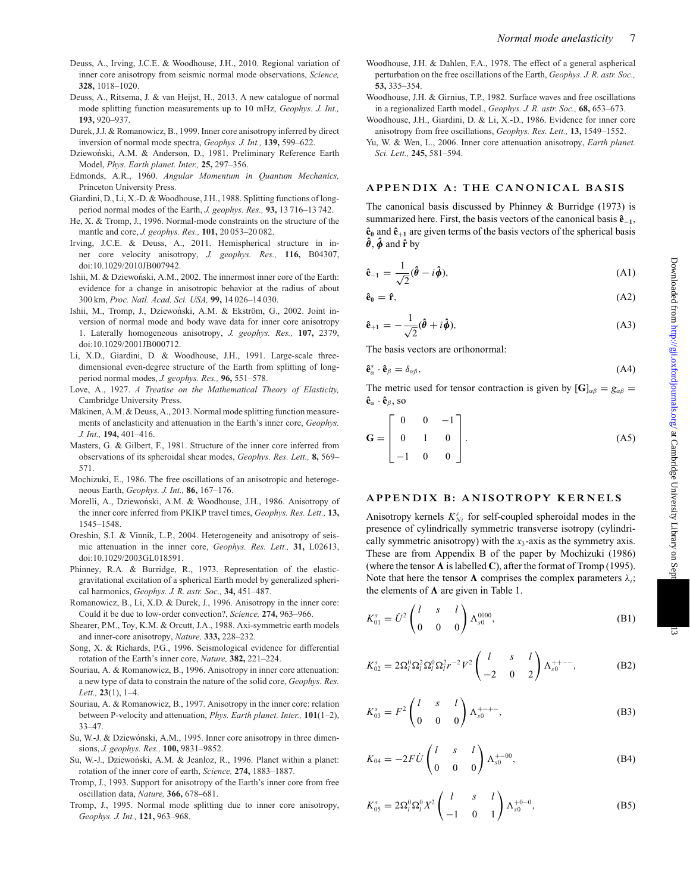- Deuss, A., Irving, J.C.E. & Woodhouse, J.H., 2010. Regional variation of inner core anisotropy from seismic normal mode observations, *Science,* **328,** 1018–1020.
- Deuss, A., Ritsema, J. & van Heijst, H., 2013. A new catalogue of normal mode splitting function measurements up to 10 mHz, *Geophys. J. Int.,* **193,** 920–937.
- Durek, J.J. & Romanowicz, B., 1999. Inner core anisotropy inferred by direct inversion of normal mode spectra, *Geophys. J. Int.,* **139,** 599–622.
- Dziewoński, A.M. & Anderson, D., 1981. Preliminary Reference Earth Model, *Phys. Earth planet. Inter.,* **25,** 297–356.
- Edmonds, A.R., 1960. *Angular Momentum in Quantum Mechanics,* Princeton University Press.
- Giardini, D., Li, X.-D. & Woodhouse, J.H., 1988. Splitting functions of longperiod normal modes of the Earth, *J. geophys. Res.,* **93,** 13 716–13 742.
- He, X. & Tromp, J., 1996. Normal-mode constraints on the structure of the mantle and core, *J. geophys. Res.,* **101,** 20 053–20 082.
- Irving, J.C.E. & Deuss, A., 2011. Hemispherical structure in inner core velocity anisotropy, *J. geophys. Res.,* **116,** B04307, doi:10.1029/2010JB007942.
- Ishii, M. & Dziewoński, A.M., 2002. The innermost inner core of the Earth: evidence for a change in anisotropic behavior at the radius of about 300 km, *Proc. Natl. Acad. Sci. USA,* **99,** 14 026–14 030.
- Ishii, M., Tromp, J., Dziewoński, A.M. & Ekström, G., 2002. Joint inversion of normal mode and body wave data for inner core anisotropy 1. Laterally homogeneous anisotropy, *J. geophys. Res.,* **107,** 2379, doi:10.1029/2001JB000712.
- Li, X.D., Giardini, D. & Woodhouse, J.H., 1991. Large-scale threedimensional even-degree structure of the Earth from splitting of longperiod normal modes, *J. geophys. Res.,* **96,** 551–578.
- Love, A., 1927. *A Treatise on the Mathematical Theory of Elasticity,* Cambridge University Press.
- Mäkinen, A.M. & Deuss, A., 2013. Normal mode splitting function measurements of anelasticity and attenuation in the Earth's inner core, *Geophys. J. Int.,* **194,** 401–416.
- Masters, G. & Gilbert, F., 1981. Structure of the inner core inferred from observations of its spheroidal shear modes, *Geophys. Res. Lett.,* **8,** 569– 571.
- Mochizuki, E., 1986. The free oscillations of an anisotropic and heterogeneous Earth, *Geophys. J. Int.,* **86,** 167–176.
- Morelli, A., Dziewoński, A.M. & Woodhouse, J.H., 1986. Anisotropy of the inner core inferred from PKIKP travel times, *Geophys. Res. Lett.,* **13,** 1545–1548.
- Oreshin, S.I. & Vinnik, L.P., 2004. Heterogeneity and anisotropy of seismic attenuation in the inner core, *Geophys. Res. Lett.,* **31,** L02613, doi:10.1029/2003GL018591.
- Phinney, R.A. & Burridge, R., 1973. Representation of the elasticgravitational excitation of a spherical Earth model by generalized spherical harmonics, *Geophys. J. R. astr. Soc.,* **34,** 451–487.
- Romanowicz, B., Li, X.D. & Durek, J., 1996. Anisotropy in the inner core: Could it be due to low-order convection?, *Science,* **274,** 963–966.
- Shearer, P.M., Toy, K.M. & Orcutt, J.A., 1988. Axi-symmetric earth models and inner-core anisotropy, *Nature,* **333,** 228–232.
- Song, X. & Richards, P.G., 1996. Seismological evidence for differential rotation of the Earth's inner core, *Nature,* **382,** 221–224.
- Souriau, A. & Romanowicz, B., 1996. Anisotropy in inner core attenuation: a new type of data to constrain the nature of the solid core, *Geophys. Res. Lett.,* **23**(1), 1–4.
- Souriau, A. & Romanowicz, B., 1997. Anisotropy in the inner core: relation between P-velocity and attenuation, *Phys. Earth planet. Inter.,* **101**(1–2), 33–47.
- Su, W.-J. & Dziewónski, A.M., 1995. Inner core anisotropy in three dimensions, *J. geophys. Res.,* **100,** 9831–9852.
- Su, W.-J., Dziewoński, A.M. & Jeanloz, R., 1996. Planet within a planet: rotation of the inner core of earth, *Science,* **274,** 1883–1887.
- Tromp, J., 1993. Support for anisotropy of the Earth's inner core from free oscillation data, *Nature,* **366,** 678–681.
- Tromp, J., 1995. Normal mode splitting due to inner core anisotropy, *Geophys. J. Int.,* **121,** 963–968.
- Woodhouse, J.H. & Dahlen, F.A., 1978. The effect of a general aspherical perturbation on the free oscillations of the Earth, *Geophys. J. R. astr. Soc.,* **53,** 335–354.
- Woodhouse, J.H. & Girnius, T.P., 1982. Surface waves and free oscillations in a regionalized Earth model., *Geophys. J. R. astr. Soc.,* **68,** 653–673.
- Woodhouse, J.H., Giardini, D. & Li, X.-D., 1986. Evidence for inner core anisotropy from free oscillations, *Geophys. Res. Lett.,* **13,** 1549–1552.
- Yu, W. & Wen, L., 2006. Inner core attenuation anisotropy, *Earth planet. Sci. Lett.,* **245,** 581–594.

#### **APPENDIX A: THE CANONICAL BASIS**

The canonical basis discussed by Phinney & Burridge (1973) is summarized here. First, the basis vectors of the canonical basis **ˆe**−**<sup>1</sup>**,  $\hat{\mathbf{e}}_0$  and  $\hat{\mathbf{e}}_{+1}$  are given terms of the basis vectors of the spherical basis  $\hat{\theta}$ ,  $\hat{\phi}$  and  $\hat{\mathbf{r}}$  by

$$
\hat{\mathbf{e}}_{-1} = \frac{1}{\sqrt{2}} (\hat{\boldsymbol{\theta}} - i \hat{\boldsymbol{\phi}}), \tag{A1}
$$

$$
\hat{\mathbf{e}}_0 = \hat{\mathbf{r}},\tag{A2}
$$

$$
\hat{\mathbf{e}}_{+1} = -\frac{1}{\sqrt{2}}(\hat{\boldsymbol{\theta}} + i\hat{\boldsymbol{\phi}}),\tag{A3}
$$

The basis vectors are orthonormal:

$$
\hat{\mathbf{e}}_{\alpha}^* \cdot \hat{\mathbf{e}}_{\beta} = \delta_{\alpha\beta},\tag{A4}
$$

The metric used for tensor contraction is given by  $[\mathbf{G}]_{\alpha\beta} = g_{\alpha\beta} =$  $\mathbf{\hat{e}}_{\alpha} \cdot \mathbf{\hat{e}}_{\beta}$ , so

$$
\mathbf{G} = \begin{bmatrix} 0 & 0 & -1 \\ 0 & 1 & 0 \\ -1 & 0 & 0 \end{bmatrix} .
$$
 (A5)

#### **APPENDIX B: ANISOTROPY KERNELS**

Anisotropy kernels  $K_{Ni}^{s}$  for self-coupled spheroidal modes in the presence of cylindrically symmetric transverse isotropy (cylindrically symmetric anisotropy) with the *x*3-axis as the symmetry axis. These are from Appendix B of the paper by Mochizuki (1986) (where the tensor  $\Lambda$  is labelled **C**), after the format of Tromp (1995). Note that here the tensor  $\Lambda$  comprises the complex parameters  $\lambda_i$ ; the elements of  $\Lambda$  are given in Table 1.

$$
K_{01}^s = \dot{U}^2 \begin{pmatrix} l & s & l \\ 0 & 0 & 0 \end{pmatrix} \Lambda_{s0}^{0000}, \tag{B1}
$$

$$
K_{02}^s = 2\Omega_l^0 \Omega_l^2 \Omega_l^0 \Omega_l^2 r^{-2} V^2 \begin{pmatrix} l & s & l \\ -2 & 0 & 2 \end{pmatrix} \Lambda_{s0}^{++--}, \tag{B2}
$$

$$
K_{03}^s = F^2 \begin{pmatrix} l & s & l \\ 0 & 0 & 0 \end{pmatrix} \Lambda_{s0}^{+-+-},
$$
 (B3)

$$
K_{04} = -2F\dot{U}\begin{pmatrix} l & s & l \\ 0 & 0 & 0 \end{pmatrix} \Lambda_{s0}^{+-00},
$$
 (B4)

$$
K_{05}^s = 2\Omega_l^0 \Omega_l^0 X^2 \begin{pmatrix} l & s & l \\ -1 & 0 & 1 \end{pmatrix} \Lambda_{s0}^{+0-0},
$$
 (B5)

ದ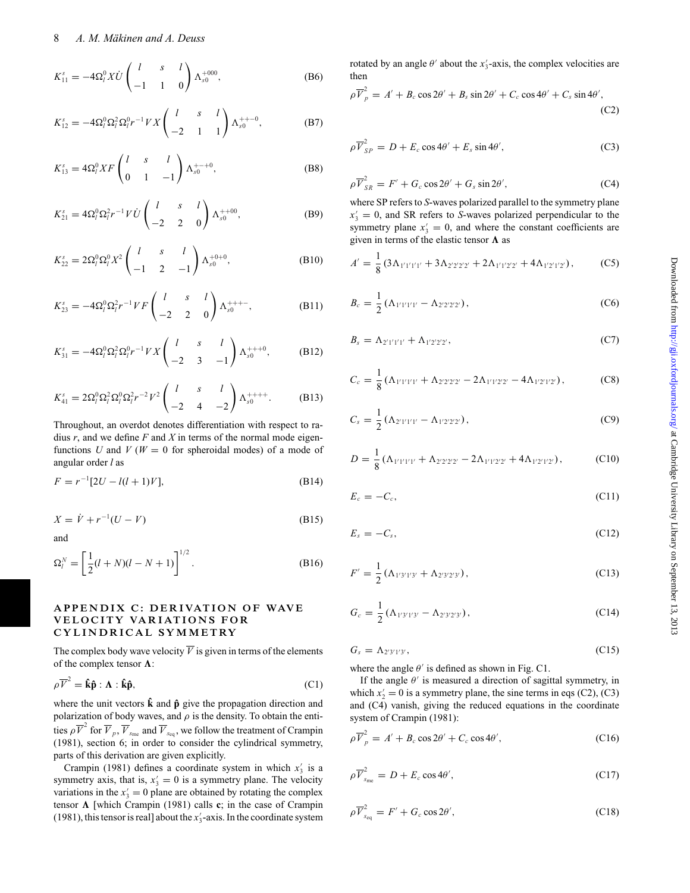$$
K_{11}^{s} = -4\Omega_{l}^{0} X \dot{U} \begin{pmatrix} l & s & l \\ -1 & 1 & 0 \end{pmatrix} \Lambda_{s0}^{+000}, \tag{B6}
$$

$$
K_{12}^s = -4\Omega_l^0 \Omega_l^2 \Omega_l^0 r^{-1} V X \begin{pmatrix} l & s & l \\ -2 & 1 & 1 \end{pmatrix} \Lambda_{s0}^{++-0}, \tag{B7}
$$

$$
K_{13}^s = 4\Omega_l^0 X F \begin{pmatrix} l & s & l \\ 0 & 1 & -1 \end{pmatrix} \Lambda_{s0}^{+-+0},
$$
 (B8)

$$
K_{21}^s = 4\Omega_l^0 \Omega_l^2 r^{-1} V \dot{U} \begin{pmatrix} l & s & l \\ -2 & 2 & 0 \end{pmatrix} \Lambda_{s0}^{++00}, \tag{B9}
$$

$$
K_{22}^s = 2\Omega_l^0 \Omega_l^0 X^2 \begin{pmatrix} l & s & l \\ -1 & 2 & -1 \end{pmatrix} \Lambda_{s0}^{+0+0}, \tag{B10}
$$

$$
K_{23}^s = -4\Omega_l^0 \Omega_l^2 r^{-1} V F \begin{pmatrix} l & s & l \\ -2 & 2 & 0 \end{pmatrix} \Lambda_{s0}^{++-}, \tag{B11}
$$

$$
K_{31}^{s} = -4\Omega_{l}^{0}\Omega_{l}^{2}\Omega_{l}^{0}r^{-1}VX\begin{pmatrix}l & s & l\\ -2 & 3 & -1\end{pmatrix}\Lambda_{s0}^{++0}, \quad (B12)
$$

$$
K_{41}^s = 2\Omega_l^0 \Omega_l^2 \Omega_l^0 \Omega_l^2 r^{-2} V^2 \begin{pmatrix} l & s & l \\ -2 & 4 & -2 \end{pmatrix} \Lambda_{s0}^{+++}.
$$
 (B13)

Throughout, an overdot denotes differentiation with respect to radius *r*, and we define *F* and *X* in terms of the normal mode eigenfunctions *U* and *V* ( $W = 0$  for spheroidal modes) of a mode of angular order *l* as

$$
F = r^{-1}[2U - l(l+1)V],
$$
\n(B14)

$$
X = \dot{V} + r^{-1}(U - V) \tag{B15}
$$

and

$$
\Omega_l^N = \left[\frac{1}{2}(l+N)(l-N+1)\right]^{1/2}.
$$
 (B16)

#### **APPENDIX C: DERIVATION OF WAVE VELOCITY VARIATIONS FOR CY L INDR ICA L SYMM E TRY**

The complex body wave velocity  $\overline{V}$  is given in terms of the elements of the complex tensor  $\Lambda$ :

$$
\rho \overline{V}^2 = \hat{\mathbf{k}} \hat{\mathbf{p}} : \mathbf{\Lambda} : \hat{\mathbf{k}} \hat{\mathbf{p}},
$$
 (C1)

where the unit vectors  $\hat{k}$  and  $\hat{p}$  give the propagation direction and polarization of body waves, and  $\rho$  is the density. To obtain the entities  $\rho \overline{V}^2$  for  $\overline{V}_{p}$ ,  $\overline{V}_{s_{\text{me}}}$  and  $\overline{V}_{s_{\text{eq}}}$ , we follow the treatment of Crampin (1981), section 6; in order to consider the cylindrical symmetry, parts of this derivation are given explicitly.

Crampin (1981) defines a coordinate system in which  $x_3$  is a symmetry axis, that is,  $x_3' = 0$  is a symmetry plane. The velocity variations in the  $x_3' = 0$  plane are obtained by rotating the complex tensor  $\Lambda$  [which Crampin (1981) calls **c**; in the case of Crampin (1981), this tensor is real] about the  $x'_{3}$ -axis. In the coordinate system

rotated by an angle  $\theta'$  about the  $x'_3$ -axis, the complex velocities are then

$$
\rho \overline{V}_{p}^{2} = A' + B_{c} \cos 2\theta' + B_{s} \sin 2\theta' + C_{c} \cos 4\theta' + C_{s} \sin 4\theta',
$$
\n(C2)

$$
\rho \overline{V}_{SP}^2 = D + E_c \cos 4\theta' + E_s \sin 4\theta', \tag{C3}
$$

$$
\rho \overline{V}_{SR}^2 = F' + G_c \cos 2\theta' + G_s \sin 2\theta', \tag{C4}
$$

where SP refers to *S*-waves polarized parallel to the symmetry plane  $x_3' = 0$ , and SR refers to *S*-waves polarized perpendicular to the symmetry plane  $x_3' = 0$ , and where the constant coefficients are given in terms of the elastic tensor  $\Lambda$  as

$$
A' = \frac{1}{8} \left( 3\Lambda_{1'1'1'1'} + 3\Lambda_{2'2'2'2'} + 2\Lambda_{1'1'2'2'} + 4\Lambda_{1'2'1'2'} \right),\tag{C5}
$$

$$
B_c = \frac{1}{2} \left( \Lambda_{1'1'1'1'} - \Lambda_{2'2'2'2'} \right),\tag{C6}
$$

$$
B_s = \Lambda_{2'1'1'1'} + \Lambda_{1'2'2'2'},
$$
 (C7)

$$
C_c = \frac{1}{8} \left( \Lambda_{1'1'1'1'} + \Lambda_{2'2'2'2'} - 2\Lambda_{1'1'2'2'} - 4\Lambda_{1'2'1'2'} \right), \tag{C8}
$$

$$
C_s = \frac{1}{2} \left( \Lambda_{2'1'1'1'} - \Lambda_{1'2'2'2'} \right), \tag{C9}
$$

$$
D = \frac{1}{8} \left( \Lambda_{1'1'1'1'} + \Lambda_{2'2'2'2'} - 2\Lambda_{1'1'2'2'} + 4\Lambda_{1'2'1'2'} \right), \tag{C10}
$$

$$
E_c = -C_c,\tag{C11}
$$

$$
E_s = -C_s, \tag{C12}
$$

$$
F' = \frac{1}{2} \left( \Lambda_{1'3'1'3'} + \Lambda_{2'3'2'3'} \right), \tag{C13}
$$

$$
G_c = \frac{1}{2} \left( \Lambda_{1'3'1'3'} - \Lambda_{2'3'2'3'} \right), \tag{C14}
$$

$$
G_s = \Lambda_{2'3'1'3'},\tag{C15}
$$

where the angle  $\theta'$  is defined as shown in Fig. C1.

If the angle  $\theta'$  is measured a direction of sagittal symmetry, in which  $x_2' = 0$  is a symmetry plane, the sine terms in eqs (C2), (C3) and (C4) vanish, giving the reduced equations in the coordinate system of Crampin (1981):

$$
\rho \overline{V}_{p}^{2} = A' + B_{c} \cos 2\theta' + C_{c} \cos 4\theta', \qquad (C16)
$$

$$
\rho \overline{V}_{s_{\rm me}}^2 = D + E_c \cos 4\theta',\tag{C17}
$$

$$
\rho \overline{V}_{s_{\text{eq}}}^2 = F' + G_c \cos 2\theta',\tag{C18}
$$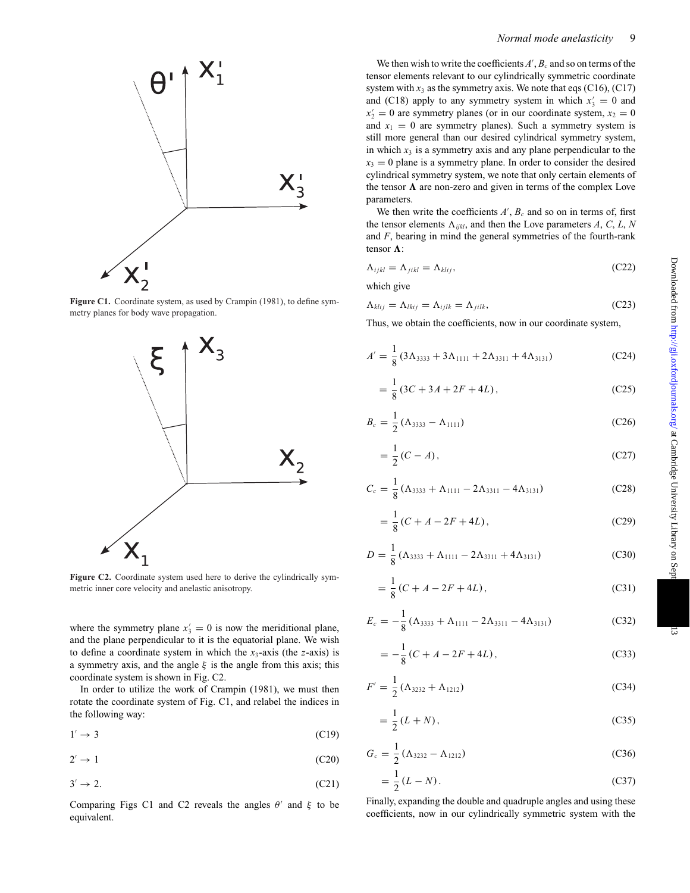

Figure C1. Coordinate system, as used by Crampin (1981), to define symmetry planes for body wave propagation.



Figure C2. Coordinate system used here to derive the cylindrically symmetric inner core velocity and anelastic anisotropy.

where the symmetry plane  $x'_3 = 0$  is now the meriditional plane, and the plane perpendicular to it is the equatorial plane. We wish to define a coordinate system in which the  $x_3$ -axis (the *z*-axis) is a symmetry axis, and the angle  $\xi$  is the angle from this axis; this coordinate system is shown in Fig. C2.

In order to utilize the work of Crampin (1981), we must then rotate the coordinate system of Fig. C1, and relabel the indices in the following way:

$$
1' \to 3 \tag{C19}
$$

$$
2' \to 1 \tag{C20}
$$

$$
3' \to 2. \tag{C21}
$$

Comparing Figs C1 and C2 reveals the angles  $\theta'$  and  $\xi$  to be equivalent.

We then wish to write the coefficients  $A'$ ,  $B_c$  and so on terms of the tensor elements relevant to our cylindrically symmetric coordinate system with  $x_3$  as the symmetry axis. We note that eqs (C16), (C17) and (C18) apply to any symmetry system in which  $x'_3 = 0$  and  $x_2' = 0$  are symmetry planes (or in our coordinate system,  $x_2 = 0$ and  $x_1 = 0$  are symmetry planes). Such a symmetry system is still more general than our desired cylindrical symmetry system, in which  $x_3$  is a symmetry axis and any plane perpendicular to the  $x_3 = 0$  plane is a symmetry plane. In order to consider the desired cylindrical symmetry system, we note that only certain elements of the tensor  $\Lambda$  are non-zero and given in terms of the complex Love parameters.

We then write the coefficients  $A'$ ,  $B_c$  and so on in terms of, first the tensor elements  $\Lambda_{iikl}$ , and then the Love parameters *A*, *C*, *L*, *N* and *F*, bearing in mind the general symmetries of the fourth-rank tensor  $\Lambda$ :

$$
\Lambda_{ijkl} = \Lambda_{jikl} = \Lambda_{klij},\tag{C22}
$$

which give

$$
\Lambda_{klij} = \Lambda_{lkij} = \Lambda_{ijlk} = \Lambda_{jilk},\tag{C23}
$$

Thus, we obtain the coefficients, now in our coordinate system,

$$
A' = \frac{1}{8} \left( 3\Lambda_{3333} + 3\Lambda_{1111} + 2\Lambda_{3311} + 4\Lambda_{3131} \right) \tag{C24}
$$

$$
= \frac{1}{8} (3C + 3A + 2F + 4L), \tag{C25}
$$

$$
B_c = \frac{1}{2} (\Lambda_{3333} - \Lambda_{1111})
$$
 (C26)

$$
=\frac{1}{2}(C-A),
$$
 (C27)

$$
C_c = \frac{1}{8} \left( \Lambda_{3333} + \Lambda_{1111} - 2\Lambda_{3311} - 4\Lambda_{3131} \right) \tag{C28}
$$

$$
= \frac{1}{8} (C + A - 2F + 4L), \tag{C29}
$$

$$
D = \frac{1}{8} \left( \Lambda_{3333} + \Lambda_{1111} - 2\Lambda_{3311} + 4\Lambda_{3131} \right) \tag{C30}
$$

$$
= \frac{1}{8}(C + A - 2F + 4L),
$$
 (C31)

$$
E_c = -\frac{1}{8} \left( \Lambda_{3333} + \Lambda_{1111} - 2\Lambda_{3311} - 4\Lambda_{3131} \right) \tag{C32}
$$

$$
=-\frac{1}{8}(C+A-2F+4L),
$$
 (C33)

$$
F' = \frac{1}{2} \left( \Lambda_{3232} + \Lambda_{1212} \right) \tag{C34}
$$

$$
=\frac{1}{2}(L+N),
$$
 (C35)

$$
G_c = \frac{1}{2} \left( \Lambda_{3232} - \Lambda_{1212} \right) \tag{C36}
$$

$$
=\frac{1}{2}(L-N).\t( C37)
$$

Finally, expanding the double and quadruple angles and using these coefficients, now in our cylindrically symmetric system with the